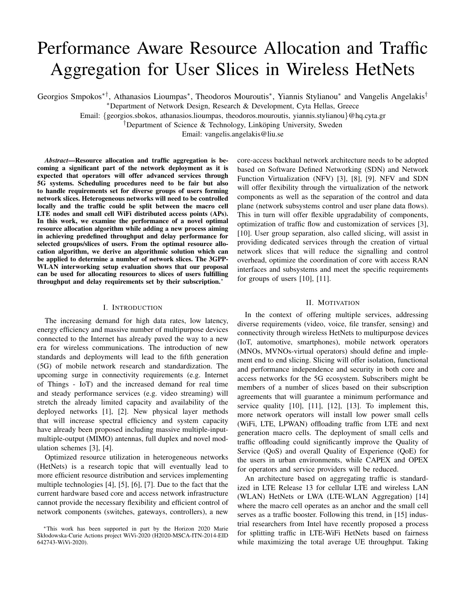# Performance Aware Resource Allocation and Traffic Aggregation for User Slices in Wireless HetNets

Georgios Smpokos<sup>\*†</sup>, Athanasios Lioumpas<sup>\*</sup>, Theodoros Mouroutis<sup>\*</sup>, Yiannis Stylianou<sup>\*</sup> and Vangelis Angelakis<sup>†</sup>

<sup>∗</sup>Department of Network Design, Research & Development, Cyta Hellas, Greece

Email: {georgios.sbokos, athanasios.lioumpas, theodoros.mouroutis, yiannis.stylianou}@hq.cyta.gr

<sup>†</sup>Department of Science & Technology, Linköping University, Sweden

Email: vangelis.angelakis@liu.se

*Abstract*—Resource allocation and traffic aggregation is becoming a significant part of the network deployment as it is expected that operators will offer advanced services through 5G systems. Scheduling procedures need to be fair but also to handle requirements set for diverse groups of users forming network slices. Heterogeneous networks will need to be controlled locally and the traffic could be split between the macro cell LTE nodes and small cell WiFi distributed access points (APs). In this work, we examine the performance of a novel optimal resource allocation algorithm while adding a new process aiming in achieving predefined throughput and delay performance for selected groups/slices of users. From the optimal resource allocation algorithm, we derive an algorithmic solution which can be applied to determine a number of network slices. The 3GPP-WLAN interworking setup evaluation shows that our proposal can be used for allocating resources to slices of users fulfilling throughput and delay requirements set by their subscription.<sup>∗</sup>

## I. INTRODUCTION

The increasing demand for high data rates, low latency, energy efficiency and massive number of multipurpose devices connected to the Internet has already paved the way to a new era for wireless communications. The introduction of new standards and deployments will lead to the fifth generation (5G) of mobile network research and standardization. The upcoming surge in connectivity requirements (e.g. Internet of Things - IoT) and the increased demand for real time and steady performance services (e.g. video streaming) will stretch the already limited capacity and availability of the deployed networks [1], [2]. New physical layer methods that will increase spectral efficiency and system capacity have already been proposed including massive multiple-inputmultiple-output (MIMO) antennas, full duplex and novel modulation schemes [3], [4].

Optimized resource utilization in heterogeneous networks (HetNets) is a research topic that will eventually lead to more efficient resource distribution and services implementing multiple technologies [4], [5], [6], [7]. Due to the fact that the current hardware based core and access network infrastructure cannot provide the necessary flexibility and efficient control of network components (switches, gateways, controllers), a new

core-access backhaul network architecture needs to be adopted based on Software Defined Networking (SDN) and Network Function Virtualization (NFV) [3], [8], [9]. NFV and SDN will offer flexibility through the virtualization of the network components as well as the separation of the control and data plane (network subsystems control and user plane data flows). This in turn will offer flexible upgradability of components, optimization of traffic flow and customization of services [3], [10]. User group separation, also called slicing, will assist in providing dedicated services through the creation of virtual network slices that will reduce the signalling and control overhead, optimize the coordination of core with access RAN interfaces and subsystems and meet the specific requirements for groups of users [10], [11].

### II. MOTIVATION

In the context of offering multiple services, addressing diverse requirements (video, voice, file transfer, sensing) and connectivity through wireless HetNets to multipurpose devices (IoT, automotive, smartphones), mobile network operators (MNOs, MVNOs-virtual operators) should define and implement end to end slicing. Slicing will offer isolation, functional and performance independence and security in both core and access networks for the 5G ecosystem. Subscribers might be members of a number of slices based on their subscription agreements that will guarantee a minimum performance and service quality [10], [11], [12], [13]. To implement this, more network operators will install low power small cells (WiFi, LTE, LPWAN) offloading traffic from LTE and next generation macro cells. The deployment of small cells and traffic offloading could significantly improve the Quality of Service (QoS) and overall Quality of Experience (QoE) for the users in urban environments, while CAPEX and OPEX for operators and service providers will be reduced.

An architecture based on aggregating traffic is standardized in LTE Release 13 for cellular LTE and wireless LAN (WLAN) HetNets or LWA (LTE-WLAN Aggregation) [14] where the macro cell operates as an anchor and the small cell serves as a traffic booster. Following this trend, in [15] industrial researchers from Intel have recently proposed a process for splitting traffic in LTE-WiFi HetNets based on fairness while maximizing the total average UE throughput. Taking

<sup>∗</sup>This work has been supported in part by the Horizon 2020 Marie Skłodowska-Curie Actions project WiVi-2020 (H2020-MSCA-ITN-2014-EID 642743-WiVi-2020).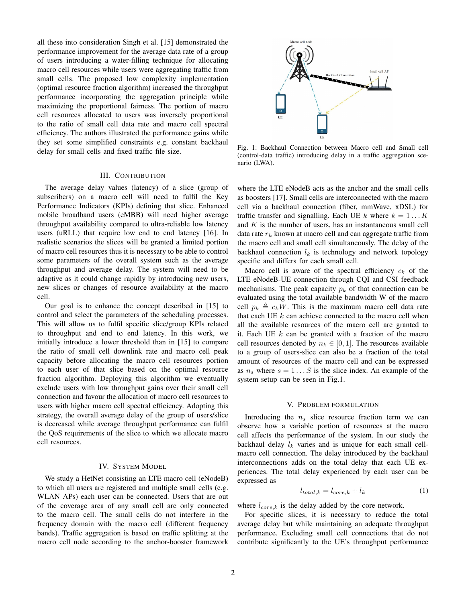all these into consideration Singh et al. [15] demonstrated the performance improvement for the average data rate of a group of users introducing a water-filling technique for allocating macro cell resources while users were aggregating traffic from small cells. The proposed low complexity implementation (optimal resource fraction algorithm) increased the throughput performance incorporating the aggregation principle while maximizing the proportional fairness. The portion of macro cell resources allocated to users was inversely proportional to the ratio of small cell data rate and macro cell spectral efficiency. The authors illustrated the performance gains while they set some simplified constraints e.g. constant backhaul delay for small cells and fixed traffic file size.

## III. CONTRIBUTION

The average delay values (latency) of a slice (group of subscribers) on a macro cell will need to fulfil the Key Performance Indicators (KPIs) defining that slice. Enhanced mobile broadband users (eMBB) will need higher average throughput availability compared to ultra-reliable low latency users (uRLL) that require low end to end latency [16]. In realistic scenarios the slices will be granted a limited portion of macro cell resources thus it is necessary to be able to control some parameters of the overall system such as the average throughput and average delay. The system will need to be adaptive as it could change rapidly by introducing new users, new slices or changes of resource availability at the macro cell.

Our goal is to enhance the concept described in [15] to control and select the parameters of the scheduling processes. This will allow us to fulfil specific slice/group KPIs related to throughput and end to end latency. In this work, we initially introduce a lower threshold than in [15] to compare the ratio of small cell downlink rate and macro cell peak capacity before allocating the macro cell resources portion to each user of that slice based on the optimal resource fraction algorithm. Deploying this algorithm we eventually exclude users with low throughput gains over their small cell connection and favour the allocation of macro cell resources to users with higher macro cell spectral efficiency. Adopting this strategy, the overall average delay of the group of users/slice is decreased while average throughput performance can fulfil the QoS requirements of the slice to which we allocate macro cell resources.

## IV. SYSTEM MODEL

We study a HetNet consisting an LTE macro cell (eNodeB) to which all users are registered and multiple small cells (e.g. WLAN APs) each user can be connected. Users that are out of the coverage area of any small cell are only connected to the macro cell. The small cells do not interfere in the frequency domain with the macro cell (different frequency bands). Traffic aggregation is based on traffic splitting at the macro cell node according to the anchor-booster framework



Fig. 1: Backhaul Connection between Macro cell and Small cell (control-data traffic) introducing delay in a traffic aggregation scenario (LWA).

where the LTE eNodeB acts as the anchor and the small cells as boosters [17]. Small cells are interconnected with the macro cell via a backhaul connection (fiber, mmWave, xDSL) for traffic transfer and signalling. Each UE k where  $k = 1...K$ and  $K$  is the number of users, has an instantaneous small cell data rate  $r_k$  known at macro cell and can aggregate traffic from the macro cell and small cell simultaneously. The delay of the backhaul connection  $l_k$  is technology and network topology specific and differs for each small cell.

Macro cell is aware of the spectral efficiency  $c_k$  of the LTE eNodeB-UE connection through CQI and CSI feedback mechanisms. The peak capacity  $p_k$  of that connection can be evaluated using the total available bandwidth W of the macro cell  $p_k \triangleq c_kW$ . This is the maximum macro cell data rate that each UE  $k$  can achieve connected to the macro cell when all the available resources of the macro cell are granted to it. Each UE  $k$  can be granted with a fraction of the macro cell resources denoted by  $n_k \in [0, 1]$ . The resources available to a group of users-slice can also be a fraction of the total amount of resources of the macro cell and can be expressed as  $n_s$  where  $s = 1...S$  is the slice index. An example of the system setup can be seen in Fig.1.

#### V. PROBLEM FORMULATION

Introducing the  $n<sub>s</sub>$  slice resource fraction term we can observe how a variable portion of resources at the macro cell affects the performance of the system. In our study the backhaul delay  $l_k$  varies and is unique for each small cellmacro cell connection. The delay introduced by the backhaul interconnections adds on the total delay that each UE experiences. The total delay experienced by each user can be expressed as

$$
l_{total,k} = l_{core,k} + l_k \tag{1}
$$

where  $l_{core,k}$  is the delay added by the core network.

For specific slices, it is necessary to reduce the total average delay but while maintaining an adequate throughput performance. Excluding small cell connections that do not contribute significantly to the UE's throughput performance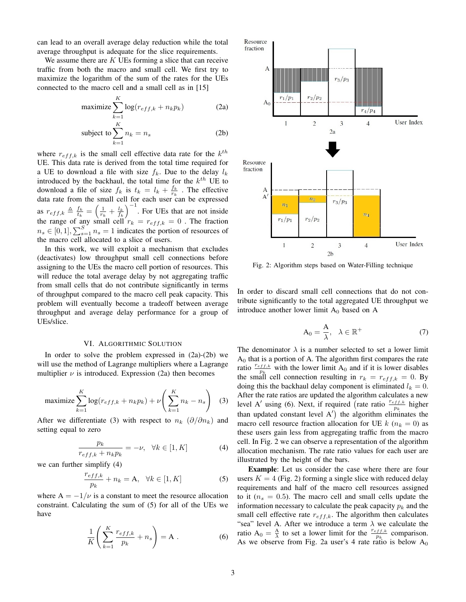can lead to an overall average delay reduction while the total average throughput is adequate for the slice requirements.

We assume there are  $K$  UEs forming a slice that can receive traffic from both the macro and small cell. We first try to maximize the logarithm of the sum of the rates for the UEs connected to the macro cell and a small cell as in [15]

$$
\text{maximize} \sum_{k=1}^{K} \log(r_{eff,k} + n_k p_k) \tag{2a}
$$

subject to 
$$
\sum_{k=1}^{K} n_k = n_s
$$
 (2b)

where  $r_{eff,k}$  is the small cell effective data rate for the  $k^{th}$ UE. This data rate is derived from the total time required for a UE to download a file with size  $f_k$ . Due to the delay  $l_k$ introduced by the backhaul, the total time for the  $k^{th}$  UE to download a file of size  $f_k$  is  $t_k = l_k + \frac{f_k}{r_k}$ . The effective data rate from the small cell for each user can be expressed as  $r_{eff,k} \triangleq \frac{f_k}{t_k} = \left(\frac{1}{r_k} + \frac{l_k}{f_k}\right)^{-1}$ . For UEs that are not inside the range of any small cell  $r_k = r_{eff,k} = 0$ . The fraction  $n_s \in [0, 1], \sum_{s=1}^{S} n_s = 1$  indicates the portion of resources of the macro cell allocated to a slice of users.

In this work, we will exploit a mechanism that excludes (deactivates) low throughput small cell connections before assigning to the UEs the macro cell portion of resources. This will reduce the total average delay by not aggregating traffic from small cells that do not contribute significantly in terms of throughput compared to the macro cell peak capacity. This problem will eventually become a tradeoff between average throughput and average delay performance for a group of UEs/slice.

## VI. ALGORITHMIC SOLUTION

In order to solve the problem expressed in  $(2a)-(2b)$  we will use the method of Lagrange multipliers where a Lagrange multiplier  $\nu$  is introduced. Expression (2a) then becomes

$$
\text{maximize} \sum_{k=1}^{K} \log(r_{eff,k} + n_k p_k) + \nu \left(\sum_{k=1}^{K} n_k - n_s\right) \tag{3}
$$

After we differentiate (3) with respect to  $n_k$  ( $\partial/\partial n_k$ ) and setting equal to zero

$$
\frac{p_k}{r_{eff,k} + n_k p_k} = -\nu, \quad \forall k \in [1, K] \tag{4}
$$

we can further simplify (4)

$$
\frac{r_{eff,k}}{p_k} + n_k = \mathbf{A}, \quad \forall k \in [1, K] \tag{5}
$$

where  $A = -1/\nu$  is a constant to meet the resource allocation constraint. Calculating the sum of (5) for all of the UEs we have

$$
\frac{1}{K} \left( \sum_{k=1}^{K} \frac{r_{eff,k}}{p_k} + n_s \right) = A . \tag{6}
$$



Fig. 2: Algorithm steps based on Water-Filling technique

In order to discard small cell connections that do not contribute significantly to the total aggregated UE throughput we introduce another lower limit  $A_0$  based on A

$$
A_0 = \frac{A}{\lambda}, \quad \lambda \in \mathbb{R}^+ \tag{7}
$$

The denominator  $\lambda$  is a number selected to set a lower limit  $A_0$  that is a portion of A. The algorithm first compares the rate ratio  $\frac{r_{eff,k}}{p_k}$  with the lower limit A<sub>0</sub> and if it is lower disables the small cell connection resulting in  $r_k = r_{eff,k} = 0$ . By doing this the backhaul delay component is eliminated  $l_k = 0$ . After the rate ratios are updated the algorithm calculates a new level A' using (6). Next, if required (rate ratio  $\frac{r_{eff,k}}{p_k}$  higher than updated constant level  $A'$ ) the algorithm eliminates the macro cell resource fraction allocation for UE  $k(n_k = 0)$  as these users gain less from aggregating traffic from the macro cell. In Fig. 2 we can observe a representation of the algorithm allocation mechanism. The rate ratio values for each user are illustrated by the height of the bars.

Example: Let us consider the case where there are four users  $K = 4$  (Fig. 2) forming a single slice with reduced delay requirements and half of the macro cell resources assigned to it ( $n_s = 0.5$ ). The macro cell and small cells update the information necessary to calculate the peak capacity  $p_k$  and the small cell effective rate  $r_{eff,k}$ . The algorithm then calculates "sea" level A. After we introduce a term  $\lambda$  we calculate the ratio  $A_0 = \frac{A}{\lambda}$  to set a lower limit for the  $\frac{r_{eff,k}}{p_k}$  comparison. As we observe from Fig. 2a user's 4 rate ratio is below  $A_0$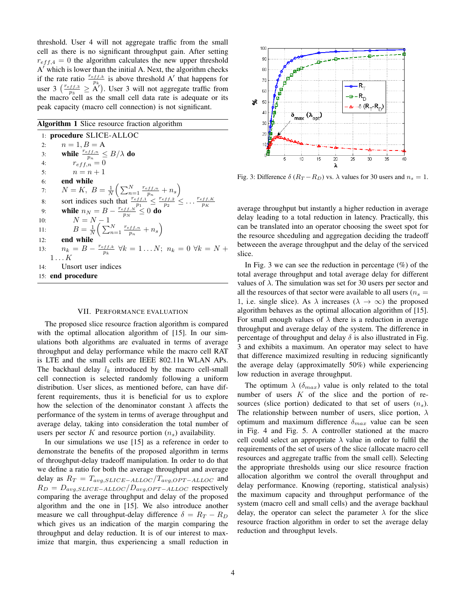threshold. User 4 will not aggregate traffic from the small cell as there is no significant throughput gain. After setting  $r_{eff,4} = 0$  the algorithm calculates the new upper threshold  $A'$  which is lower than the initial A. Next, the algorithm checks if the rate ratio  $\frac{r_{eff,k}}{p_{k}}$  is above threshold A' that happens for user 3  $\left(\frac{r_{eff,3}}{p_3} \geq \mathring{A}'\right)$ . User 3 will not aggregate traffic from the macro cell as the small cell data rate is adequate or its peak capacity (macro cell connection) is not significant.

Algorithm 1 Slice resource fraction algorithm 1: procedure SLICE-ALLOC 2:  $n = 1, B = A$ 3: while  $\frac{r_{eff,n}}{p_n} \leq B/\lambda$  do 4:  $r_{eff,n} = 0$ 5:  $n = n + 1$ 6: end while 7:  $N = K, B = \frac{1}{N} \left( \sum_{n=1}^{N} \frac{r_{eff,n}}{p_n} \right)$  $\frac{_{ff,n}}{p_n}+n_s$  $\setminus$ 8: sort indices such that  $\frac{r_{eff,1}}{p_1} \leq \frac{r_{eff,2}}{p_2}$ 9: while  $n_N = B - \frac{r_{eff,N}}{n_N} \leq 0$  do 92  $\leq \ldots$  $r_{eff,K}$ p<sup>K</sup>  $\frac{_{ff,N}}{p_N}\leq 0$  do 10:  $N = N - 1$ 11:  $B = \frac{1}{N} \left( \sum_{n=1}^{N} \frac{r_{eff,n}}{p_n} \right)$  $\left(\frac{ff, n}{p_n} + n_s\right)$ 12: end while 13:  $n_k = B - \frac{r_{eff,k}}{n_k}$  $\frac{df f_k}{p_k}$   $\forall k = 1...N; n_k = 0 \ \forall k = N +$  $1 \ldots K$ 14: Unsort user indices 15: end procedure

## VII. PERFORMANCE EVALUATION

The proposed slice resource fraction algorithm is compared with the optimal allocation algorithm of [15]. In our simulations both algorithms are evaluated in terms of average throughput and delay performance while the macro cell RAT is LTE and the small cells are IEEE 802.11n WLAN APs. The backhaul delay  $l_k$  introduced by the macro cell-small cell connection is selected randomly following a uniform distribution. User slices, as mentioned before, can have different requirements, thus it is beneficial for us to explore how the selection of the denominator constant  $\lambda$  affects the performance of the system in terms of average throughput and average delay, taking into consideration the total number of users per sector K and resource portion  $(n_s)$  availability.

In our simulations we use [15] as a reference in order to demonstrate the benefits of the proposed algorithm in terms of throughput-delay tradeoff manipulation. In order to do that we define a ratio for both the average throughput and average delay as  $R_T = T_{avg, SLICE-ALLOC}/T_{avg, OPT-ALLOC}$  and  $R_D = D_{avg, SLICE-ALLOC} / D_{avg, OPT-ALLOC}$  respectively comparing the average throughput and delay of the proposed algorithm and the one in [15]. We also introduce another measure we call throughput-delay difference  $\delta = R_T - R_D$ which gives us an indication of the margin comparing the throughput and delay reduction. It is of our interest to maximize that margin, thus experiencing a small reduction in



Fig. 3: Difference  $\delta$  ( $R_T - R_D$ ) vs.  $\lambda$  values for 30 users and  $n_s = 1$ .

average throughput but instantly a higher reduction in average delay leading to a total reduction in latency. Practically, this can be translated into an operator choosing the sweet spot for the resource shceduling and aggregation deciding the tradeoff betweeen the average throughput and the delay of the serviced slice.

In Fig. 3 we can see the reduction in percentage (%) of the total average throughput and total average delay for different values of  $\lambda$ . The simulation was set for 30 users per sector and all the resources of that sector were available to all users ( $n<sub>s</sub>$  = 1, i.e. single slice). As  $\lambda$  increases ( $\lambda \to \infty$ ) the proposed algorithm behaves as the optimal allocation algorithm of [15]. For small enough values of  $\lambda$  there is a reduction in average throughput and average delay of the system. The difference in percentage of throughput and delay  $\delta$  is also illustrated in Fig. 3 and exhibits a maximum. An operator may select to have that difference maximized resulting in reducing significantly the average delay (approximatelly 50%) while experiencing low reduction in average throughput.

The optimum  $\lambda$  ( $\delta_{max}$ ) value is only related to the total number of users  $K$  of the slice and the portion of resources (slice portion) dedicated to that set of users  $(n<sub>s</sub>)$ . The relationship between number of users, slice portion,  $\lambda$ optimum and maximum difference  $\delta_{max}$  value can be seen in Fig. 4 and Fig. 5. A controller stationed at the macro cell could select an appropriate  $\lambda$  value in order to fulfil the requirements of the set of users of the slice (allocate macro cell resources and aggregate traffic from the small cell). Selecting the appropriate thresholds using our slice resource fraction allocation algorithm we control the overall throughput and delay performance. Knowing (reporting, statistical analysis) the maximum capacity and throughput performance of the system (macro cell and small cells) and the average backhaul delay, the operator can select the parameter  $\lambda$  for the slice resource fraction algorithm in order to set the average delay reduction and throughput levels.